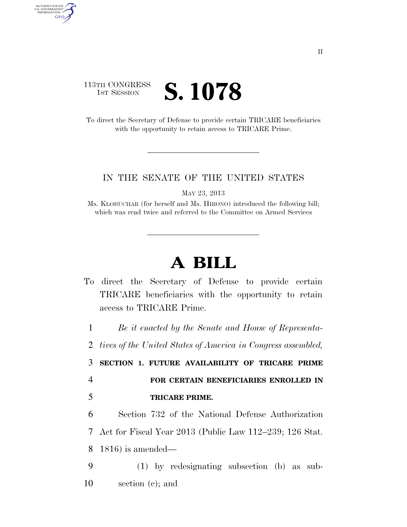## 113TH CONGRESS **IST SESSION S. 1078**

AUTHENTICATED<br>U.S. GOVERNMENT<br>INFORMATION **GPO** 

> To direct the Secretary of Defense to provide certain TRICARE beneficiaries with the opportunity to retain access to TRICARE Prime.

## IN THE SENATE OF THE UNITED STATES

MAY 23, 2013

Ms. KLOBUCHAR (for herself and Ms. HIRONO) introduced the following bill; which was read twice and referred to the Committee on Armed Services

## **A BILL**

To direct the Secretary of Defense to provide certain TRICARE beneficiaries with the opportunity to retain access to TRICARE Prime.

1 *Be it enacted by the Senate and House of Representa-*

2 *tives of the United States of America in Congress assembled,* 

3 **SECTION 1. FUTURE AVAILABILITY OF TRICARE PRIME**  4 **FOR CERTAIN BENEFICIARIES ENROLLED IN** 

5 **TRICARE PRIME.** 

6 Section 732 of the National Defense Authorization 7 Act for Fiscal Year 2013 (Public Law 112–239; 126 Stat. 8 1816) is amended—

9 (1) by redesignating subsection (b) as sub-10 section (c); and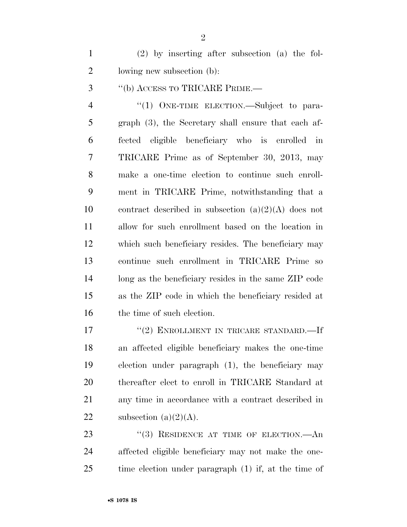(2) by inserting after subsection (a) the fol-lowing new subsection (b):

''(b) ACCESS TO TRICARE PRIME.—

4 "(1) ONE-TIME ELECTION.—Subject to para- graph (3), the Secretary shall ensure that each af- fected eligible beneficiary who is enrolled in TRICARE Prime as of September 30, 2013, may make a one-time election to continue such enroll- ment in TRICARE Prime, notwithstanding that a 10 contract described in subsection  $(a)(2)(A)$  does not allow for such enrollment based on the location in which such beneficiary resides. The beneficiary may continue such enrollment in TRICARE Prime so long as the beneficiary resides in the same ZIP code as the ZIP code in which the beneficiary resided at 16 the time of such election.

17 "(2) ENROLLMENT IN TRICARE STANDARD.—If an affected eligible beneficiary makes the one-time election under paragraph (1), the beneficiary may thereafter elect to enroll in TRICARE Standard at any time in accordance with a contract described in 22 subsection  $(a)(2)(A)$ .

23 "(3) RESIDENCE AT TIME OF ELECTION.—An affected eligible beneficiary may not make the one-time election under paragraph (1) if, at the time of